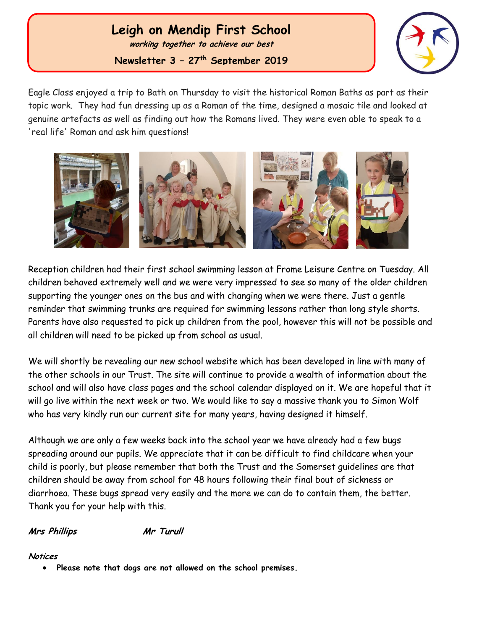# **Leigh on Mendip First School**

**working together to achieve our best**

**Newsletter 3 – 27th September 2019**



**th 2017** Eagle Class enjoyed a trip to Bath on Thursday to visit the historical Roman Baths as part as their topic work. They had fun dressing up as a Roman of the time, designed a mosaic tile and looked at genuine artefacts as well as finding out how the Romans lived. They were even able to speak to a 'real life' Roman and ask him questions!



Reception children had their first school swimming lesson at Frome Leisure Centre on Tuesday. All children behaved extremely well and we were very impressed to see so many of the older children supporting the younger ones on the bus and with changing when we were there. Just a gentle reminder that swimming trunks are required for swimming lessons rather than long style shorts. Parents have also requested to pick up children from the pool, however this will not be possible and all children will need to be picked up from school as usual.

We will shortly be revealing our new school website which has been developed in line with many of the other schools in our Trust. The site will continue to provide a wealth of information about the school and will also have class pages and the school calendar displayed on it. We are hopeful that it will go live within the next week or two. We would like to say a massive thank you to Simon Wolf who has very kindly run our current site for many years, having designed it himself.

Although we are only a few weeks back into the school year we have already had a few bugs spreading around our pupils. We appreciate that it can be difficult to find childcare when your child is poorly, but please remember that both the Trust and the Somerset guidelines are that children should be away from school for 48 hours following their final bout of sickness or diarrhoea. These bugs spread very easily and the more we can do to contain them, the better. Thank you for your help with this.

#### **Mrs Phillips Mr Turull**

#### **Notices**

**Please note that dogs are not allowed on the school premises.**